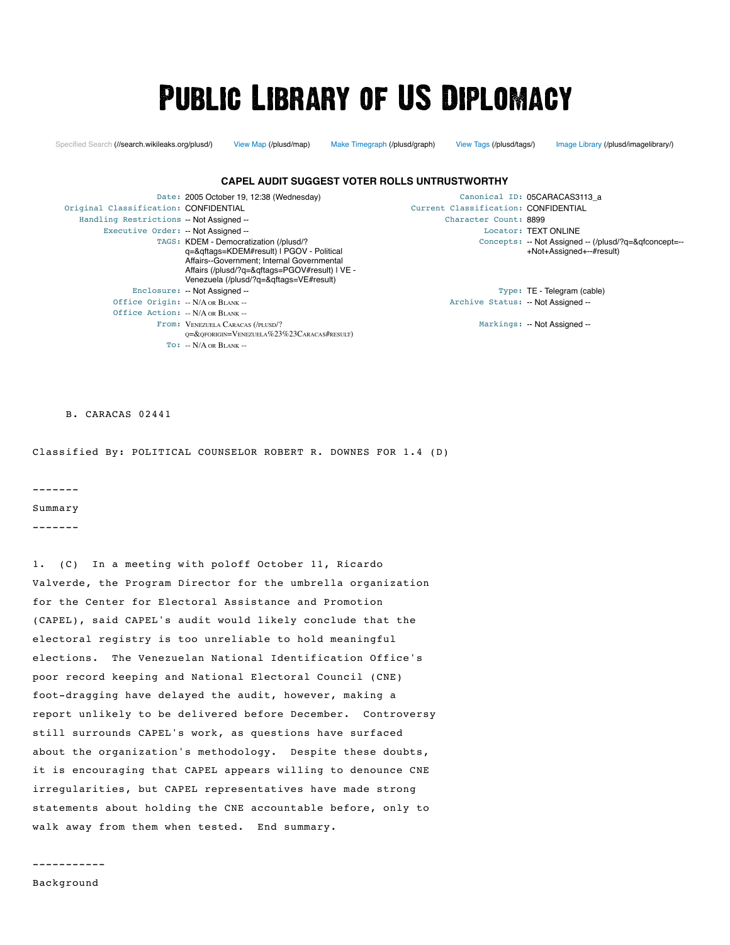# **PUBLIC LIBRARY OF US DIPLOMACY**

[Specified Search \(//search.wikileaks.org/plusd/\)](https://search.wikileaks.org/plusd/) [View Map \(/plusd/map\)](https://wikileaks.org/plusd/map) [Make Timegraph \(/plusd/graph\)](https://wikileaks.org/plusd/graph) [View Tags \(/plusd/tags/\)](https://wikileaks.org/plusd/tags/) [Image Library \(/plusd/imagelibrary/\)](https://wikileaks.org/plusd/imagelibrary/)

+Not+Assigned+--#result)

#### Date: 2005 October 19, 12:38 (Wednesday) Canonical ID: 05CARACAS3113\_a<br>Current Classification: CONFIDENTIAL Current Classification: CONFIDENTIAL Original Classification: CONFIDENTIAL Handling Restrictions -- Not Assigned -- The Character Count: 8899 Character Count: 8899 Executive Order: -- Not Assigned -- Locator: TEXT ONLINE TAGS: [KDEM - Democratization \(/plusd/?](https://wikileaks.org/plusd/?q=&qftags=KDEM#result) q=&qftags=KDEM#result) | PGOV - Political [Affairs--Government; Internal Governmental](https://wikileaks.org/plusd/?q=&qftags=PGOV#result) Affairs (/plusd/?q=&qftags=PGOV#result) | VE - [Venezuela \(/plusd/?q=&qftags=VE#result\)](https://wikileaks.org/plusd/?q=&qftags=VE#result) Concepts: [-- Not Assigned -- \(/plusd/?q=&qfconcept=--](https://wikileaks.org/plusd/?q=&qfconcept=--+Not+Assigned+--#result) Enclosure: -- Not Assigned -- Type: TE - Telegram (cable) Office Origin: -- N/A OR BLANK --Office Action: -- N/A OR BLANK -- Archive Status: -- Not Assigned -- From: VENEZUELA CARACAS (/PLUSD/? [Q=&QFORIGIN=VENEZUELA%23%23CARACAS#RESULT\)](https://wikileaks.org/plusd/?q=&qforigin=Venezuela%23%23Caracas#result) Markings: -- Not Assigned --  $TO: -N/A$  OR  $BIANK -$ **CAPEL AUDIT SUGGEST VOTER ROLLS UNTRUSTWORTHY**

B. CARACAS 02441

Classified By: POLITICAL COUNSELOR ROBERT R. DOWNES FOR 1.4 (D)

-------

Summary

-------

1. (C) In a meeting with poloff October 11, Ricardo Valverde, the Program Director for the umbrella organization for the Center for Electoral Assistance and Promotion (CAPEL), said CAPEL's audit would likely conclude that the electoral registry is too unreliable to hold meaningful elections. The Venezuelan National Identification Office's poor record keeping and National Electoral Council (CNE) foot-dragging have delayed the audit, however, making a report unlikely to be delivered before December. Controversy still surrounds CAPEL's work, as questions have surfaced about the organization's methodology. Despite these doubts, it is encouraging that CAPEL appears willing to denounce CNE irregularities, but CAPEL representatives have made strong statements about holding the CNE accountable before, only to walk away from them when tested. End summary.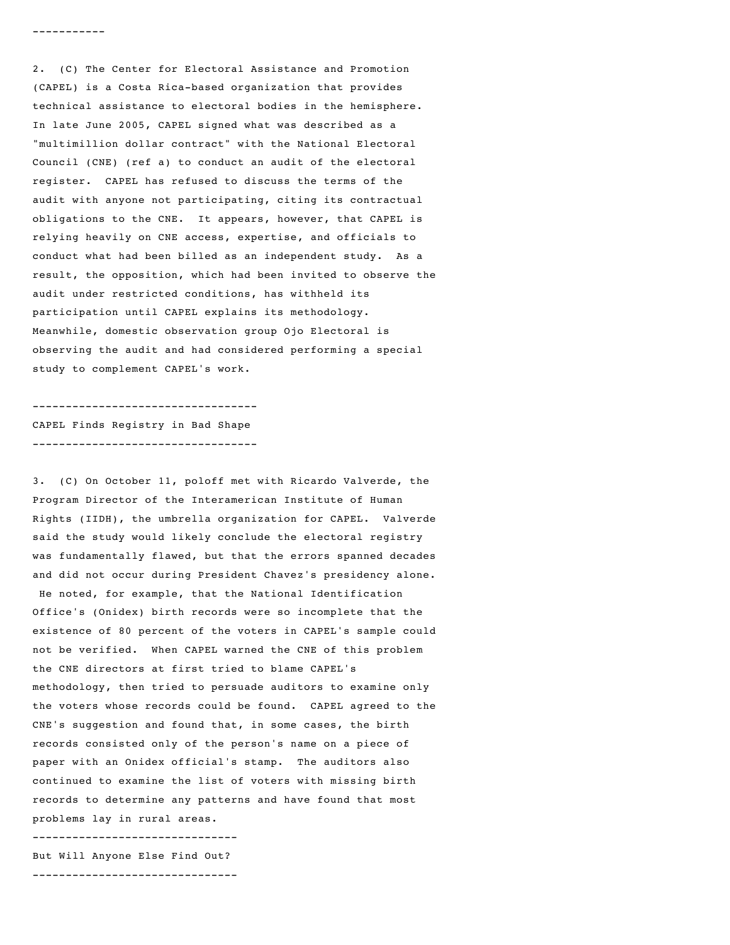2. (C) The Center for Electoral Assistance and Promotion (CAPEL) is a Costa Rica-based organization that provides technical assistance to electoral bodies in the hemisphere. In late June 2005, CAPEL signed what was described as a "multimillion dollar contract" with the National Electoral Council (CNE) (ref a) to conduct an audit of the electoral register. CAPEL has refused to discuss the terms of the audit with anyone not participating, citing its contractual obligations to the CNE. It appears, however, that CAPEL is relying heavily on CNE access, expertise, and officials to conduct what had been billed as an independent study. As a result, the opposition, which had been invited to observe the audit under restricted conditions, has withheld its participation until CAPEL explains its methodology. Meanwhile, domestic observation group Ojo Electoral is observing the audit and had considered performing a special study to complement CAPEL's work.

---------------------------------- CAPEL Finds Registry in Bad Shape ----------------------------------

3. (C) On October 11, poloff met with Ricardo Valverde, the Program Director of the Interamerican Institute of Human Rights (IIDH), the umbrella organization for CAPEL. Valverde said the study would likely conclude the electoral registry was fundamentally flawed, but that the errors spanned decades and did not occur during President Chavez's presidency alone. He noted, for example, that the National Identification Office's (Onidex) birth records were so incomplete that the existence of 80 percent of the voters in CAPEL's sample could not be verified. When CAPEL warned the CNE of this problem the CNE directors at first tried to blame CAPEL's methodology, then tried to persuade auditors to examine only the voters whose records could be found. CAPEL agreed to the CNE's suggestion and found that, in some cases, the birth records consisted only of the person's name on a piece of paper with an Onidex official's stamp. The auditors also continued to examine the list of voters with missing birth records to determine any patterns and have found that most problems lay in rural areas.

------------------------------- But Will Anyone Else Find Out?

-------------------------------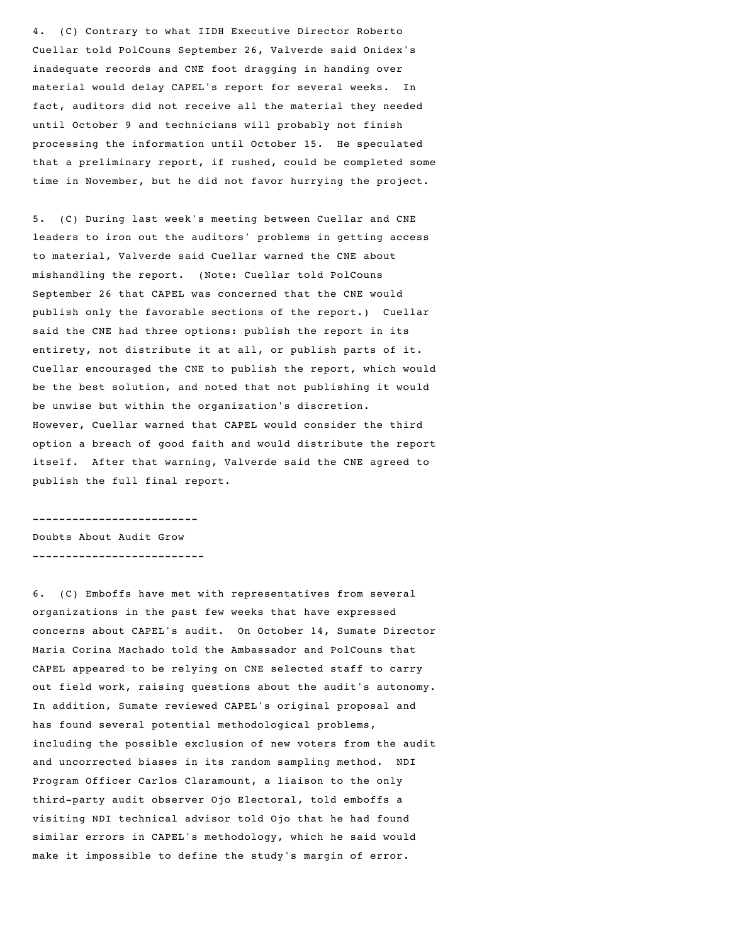4. (C) Contrary to what IIDH Executive Director Roberto Cuellar told PolCouns September 26, Valverde said Onidex's inadequate records and CNE foot dragging in handing over material would delay CAPEL's report for several weeks. In fact, auditors did not receive all the material they needed until October 9 and technicians will probably not finish processing the information until October 15. He speculated that a preliminary report, if rushed, could be completed some time in November, but he did not favor hurrying the project.

5. (C) During last week's meeting between Cuellar and CNE leaders to iron out the auditors' problems in getting access to material, Valverde said Cuellar warned the CNE about mishandling the report. (Note: Cuellar told PolCouns September 26 that CAPEL was concerned that the CNE would publish only the favorable sections of the report.) Cuellar said the CNE had three options: publish the report in its entirety, not distribute it at all, or publish parts of it. Cuellar encouraged the CNE to publish the report, which would be the best solution, and noted that not publishing it would be unwise but within the organization's discretion. However, Cuellar warned that CAPEL would consider the third option a breach of good faith and would distribute the report itself. After that warning, Valverde said the CNE agreed to publish the full final report.

------------------------- Doubts About Audit Grow --------------------------

6. (C) Emboffs have met with representatives from several organizations in the past few weeks that have expressed concerns about CAPEL's audit. On October 14, Sumate Director Maria Corina Machado told the Ambassador and PolCouns that CAPEL appeared to be relying on CNE selected staff to carry out field work, raising questions about the audit's autonomy. In addition, Sumate reviewed CAPEL's original proposal and has found several potential methodological problems, including the possible exclusion of new voters from the audit and uncorrected biases in its random sampling method. NDI Program Officer Carlos Claramount, a liaison to the only third-party audit observer Ojo Electoral, told emboffs a visiting NDI technical advisor told Ojo that he had found similar errors in CAPEL's methodology, which he said would make it impossible to define the study's margin of error.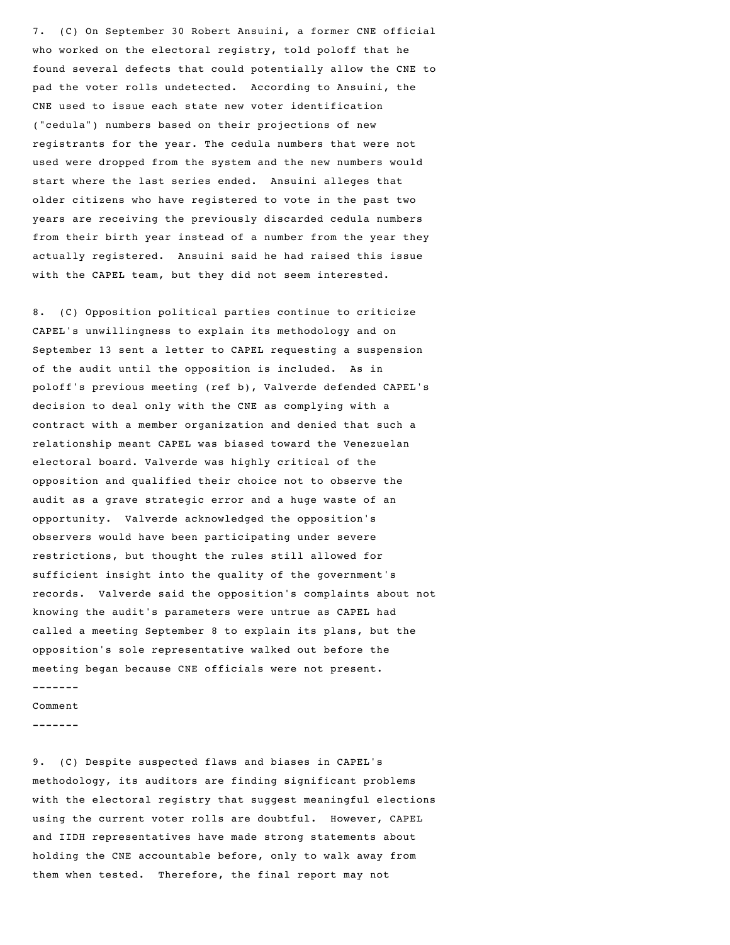7. (C) On September 30 Robert Ansuini, a former CNE official who worked on the electoral registry, told poloff that he found several defects that could potentially allow the CNE to pad the voter rolls undetected. According to Ansuini, the CNE used to issue each state new voter identification ("cedula") numbers based on their projections of new registrants for the year. The cedula numbers that were not used were dropped from the system and the new numbers would start where the last series ended. Ansuini alleges that older citizens who have registered to vote in the past two years are receiving the previously discarded cedula numbers from their birth year instead of a number from the year they actually registered. Ansuini said he had raised this issue with the CAPEL team, but they did not seem interested.

8. (C) Opposition political parties continue to criticize CAPEL's unwillingness to explain its methodology and on September 13 sent a letter to CAPEL requesting a suspension of the audit until the opposition is included. As in poloff's previous meeting (ref b), Valverde defended CAPEL's decision to deal only with the CNE as complying with a contract with a member organization and denied that such a relationship meant CAPEL was biased toward the Venezuelan electoral board. Valverde was highly critical of the opposition and qualified their choice not to observe the audit as a grave strategic error and a huge waste of an opportunity. Valverde acknowledged the opposition's observers would have been participating under severe restrictions, but thought the rules still allowed for sufficient insight into the quality of the government's records. Valverde said the opposition's complaints about not knowing the audit's parameters were untrue as CAPEL had called a meeting September 8 to explain its plans, but the opposition's sole representative walked out before the meeting began because CNE officials were not present.

#### ------- Comment

-------

9. (C) Despite suspected flaws and biases in CAPEL's methodology, its auditors are finding significant problems with the electoral registry that suggest meaningful elections using the current voter rolls are doubtful. However, CAPEL and IIDH representatives have made strong statements about holding the CNE accountable before, only to walk away from them when tested. Therefore, the final report may not